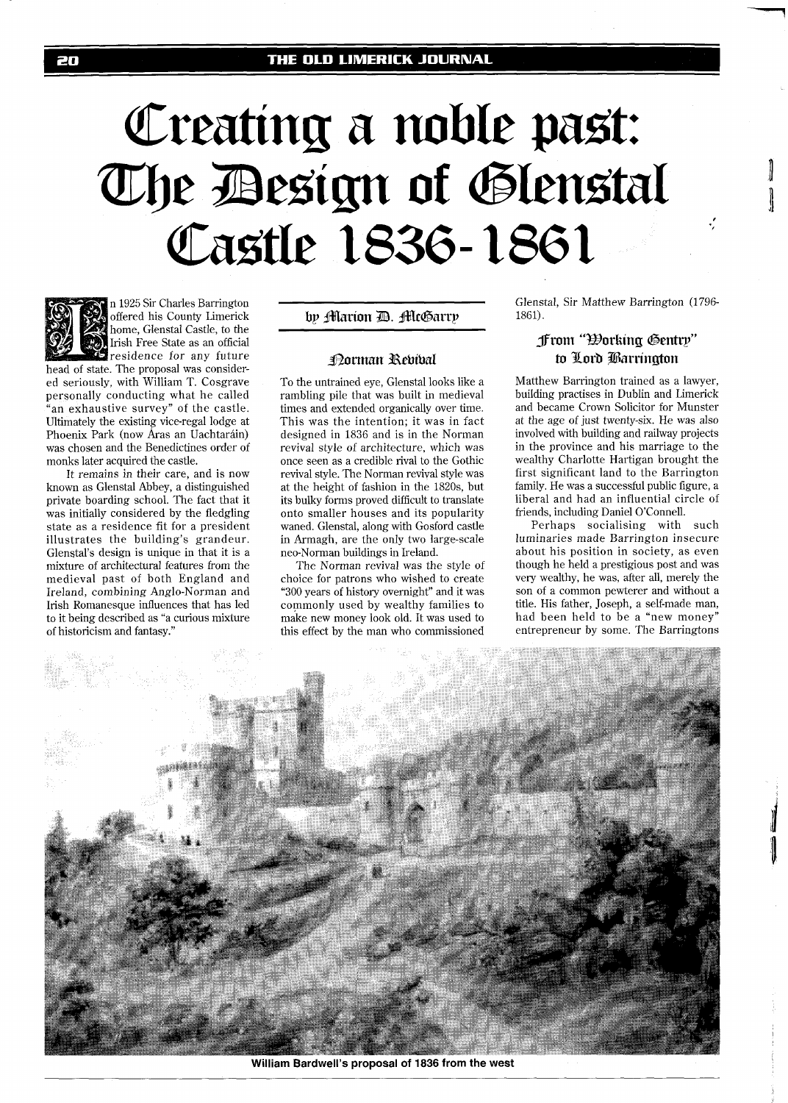# Creating a noble past:<br>The Besign of Glenstal Castle 1836-1861



n 1925 Sir Charles Barrington offered his County Limerick home, Glenstal Castle, to the Irish Free State as an official residence for any future

head of state. The proposal was considered seriously, with William T. Cosgrave personally conducting what he called "an exhaustive survey" of the castle. Ultimately the existing vice-regal lodge at Phoenix Park (now Áras an Uachtaráin) was chosen and the Benedictines order of monks later acquired the castle.

It remains in their care, and is now known as Glenstal Abbey, a distinguished private boarding school. The fact that it was initially considered by the fledgling state as a residence fit for a president illustrates the building's grandeur. Glenstal's design is unique in that it is a mixture of architectural features from the medieval past of both England and Ireland, combining Anglo-Norman and Irish Romanesque influences that has led to it being described as "a curious mixture of historicism and fantasy."

by Marion D. McGarry

## **Porman Rebibal**

To the untrained eye, Glenstal looks like a rambling pile that was built in medieval times and extended organically over time. This was the intention; it was in fact designed in 1836 and is in the Norman revival style of architecture, which was once seen as a credible rival to the Gothic revival style. The Norman revival style was at the height of fashion in the 1820s, but its bulky forms proved difficult to translate onto smaller houses and its popularity waned. Glenstal, along with Gosford castle in Armagh, are the only two large-scale neo-Norman buildings in Ireland.

The Norman revival was the style of choice for patrons who wished to create "300 years of history overnight" and it was commonly used by wealthy families to make new money look old. It was used to this effect by the man who commissioned

Glenstal, Sir Matthew Barrington (1796- 1861).

# **from "Borking Gentry"** to Lord Barrington

Matthew Barrington trained as a lawyer, building practises in Dublin and Limerick and became Crown Solicitor for Munster at the age of just twenty-six. He was also involved with building and railway projects in the province and his marriage to the wealthy Charlotte Hartigan brought the first significant land to the Barrington family. He was a successful public figure, a liberal and had an influential circle of friends, including Daniel O'Connell.

Perhaps socialising with such luminaries made Barrington insecure about his position in society, as even though he held a prestigious post and was very wealthy, he was, after all, merely the son of a common pewterer and without a title. His father, Joseph, a self-made man, had been held to be a "new money" entrepreneur by some. The Barringtons



**William Bardwell's proposal of 1836 from the west**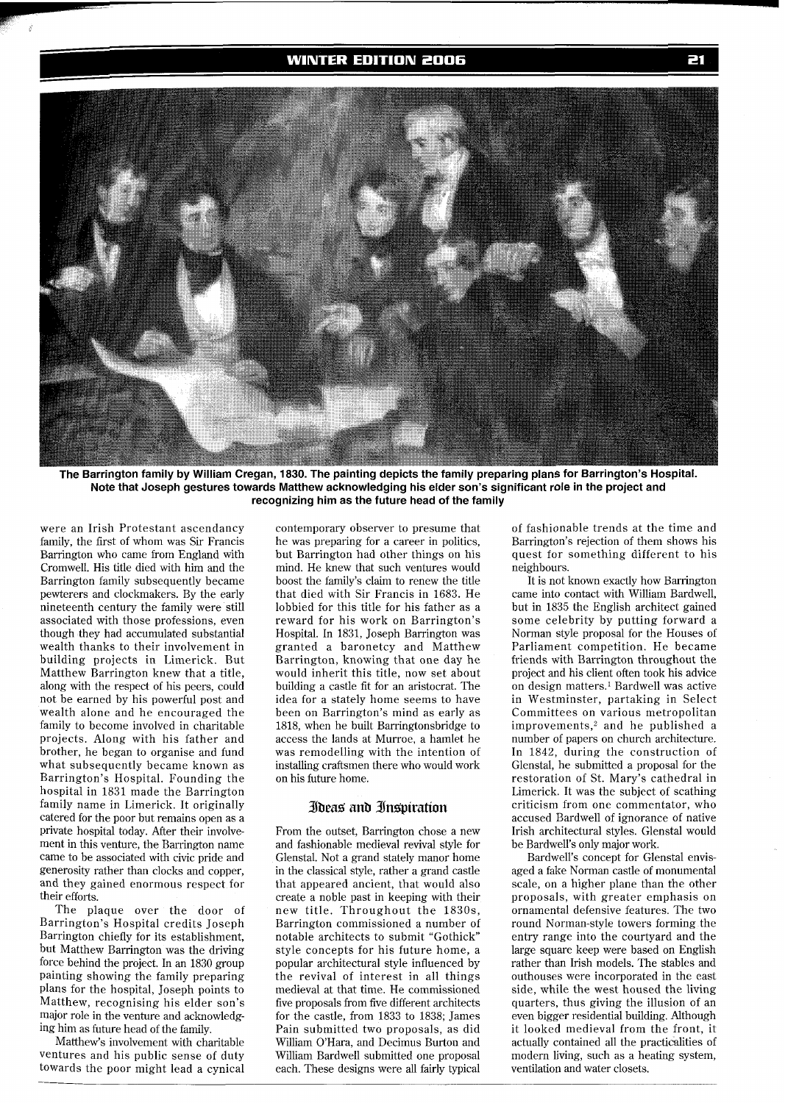#### **WINTER EDITION 2006**



The Barrington family by William Cregan, 1830. The painting depicts the family preparing plans for Barrington's Hospital. **Note that Joseph gestures towards Matthew acknowledging his elder son's significant role in the project and recognizing him as the future head of the family** 

were an Irish Protestant ascendancy family, the first of whom was Sir Francis Barrington who came from England with Cromwell. His title died with him and the Barrington family subsequently became pewterers and clockmakers. By the early nineteenth century the family were still associated with those professions, even though they had accumulated substantial wealth thanks to their involvement in building projects in Limerick. But Matthew Barrington knew that a title, along with the respect of his peers, could not be earned by his powerful post and wealth alone and he encouraged the family to become involved in charitable projects. Along with his father and brother, he began to organise and fund what subsequently became known as Barrington's Hospital. Founding the hospital in 1831 made the Barrington family name in Limerick. It originally catered for the poor but remains open as a private hospital today. After their involvement in this venture, the Barrington name came to be associated with civic pride and generosity rather than clocks and copper, and they gained enormous respect for their efforts.

The plaque over the door of Barrington's Hospital credits Joseph Barrington chiefly for its establishment, but Matthew Barrington was the driving force behind the project. In an 1830 group painting showing the family preparing plans for the hospital, Joseph points to Matthew, recognising his elder son's major role in the venture and acknowledging him as future head of the family.

Matthew's involvement with charitable ventures and his public sense of duty towards the poor might lead a cynical

contemporary observer to presume that he was preparing for a career in politics, but Barrington had other things on his mind. He knew that such ventures would boost the family's claim to renew the title that died with Sir Francis in 1683. He lobbied for this title for his father as a reward for his work on Barrington's Hospital. In 1831, Joseph Barrington was granted a baronetcy and Matthew Barrington, knowing that one day he would inherit this title, now set about building a castle fit for an aristocrat. The idea for a stately home seems to have been on Barrington's mind as early as 1818, when he built Barringtonsbridge to access the lands at Murroe, a hamlet he was remodelling with the intention of installing craftsmen there who would work on his future home.

#### **Ibeas and Inspiration**

From the outset, Barrington chose a new and fashionable medieval revival style for Glenstal. Not a grand stately manor home in the classical style, rather a grand castle that appeared ancient, that would also create a noble past in keeping with their new title. Throughout the 1830s, Barrington commissioned a number of notable architects to submit "Gothick" style concepts for his future home, a popular architectural style influenced by the revival of interest in all things medieval at that time. He commissioned five proposals from five different architects for the castle, from 1833 to 1838; James Pain submitted two proposals, as did William O'Hara, and Decimus Burton and William Bardwell submitted one proposal each. These designs were all fairly typical of fashionable trends at the time and Barrington's rejection of them shows his quest for something different to his neighbours.

It is not known exactly how Barrington came into contact with William Bardwell, but in 1835 the English architect gained some celebrity by putting forward a Norman style proposal for the Houses of Parliament competition. He became friends with Barrington throughout the project and his client often took his advice on design matters.' Bardwell was active in Westminster, partaking in Select Committees on various metropolitan improvements,<sup>2</sup> and he published a number of papers on church architecture. In 1842, during the construction of Glenstal, he submitted a proposal for the restoration of St. Mary's cathedral in Limerick. It was the subject of scathing criticism from one commentator, who accused Bardwell of ignorance of native Irish architectural styles. Glenstal would be Bardwell's only major work.

Bardwell's concept for Glenstal envisaged a fake Norman castle of monumental scale, on a higher plane than the other proposals, with greater emphasis on ornamental defensive features. The two round Norman-style towers forming the entry range into the courtyard and the large square keep were based on English rather than Irish models. The stables and outhouses were incorporated in the east side, while the west housed the living quarters, thus giving the illusion of an even bigger residential building. Although it looked medieval from the front, it actually contained all the practicdlities of modern living, such as a heating system, ventilation and water closets.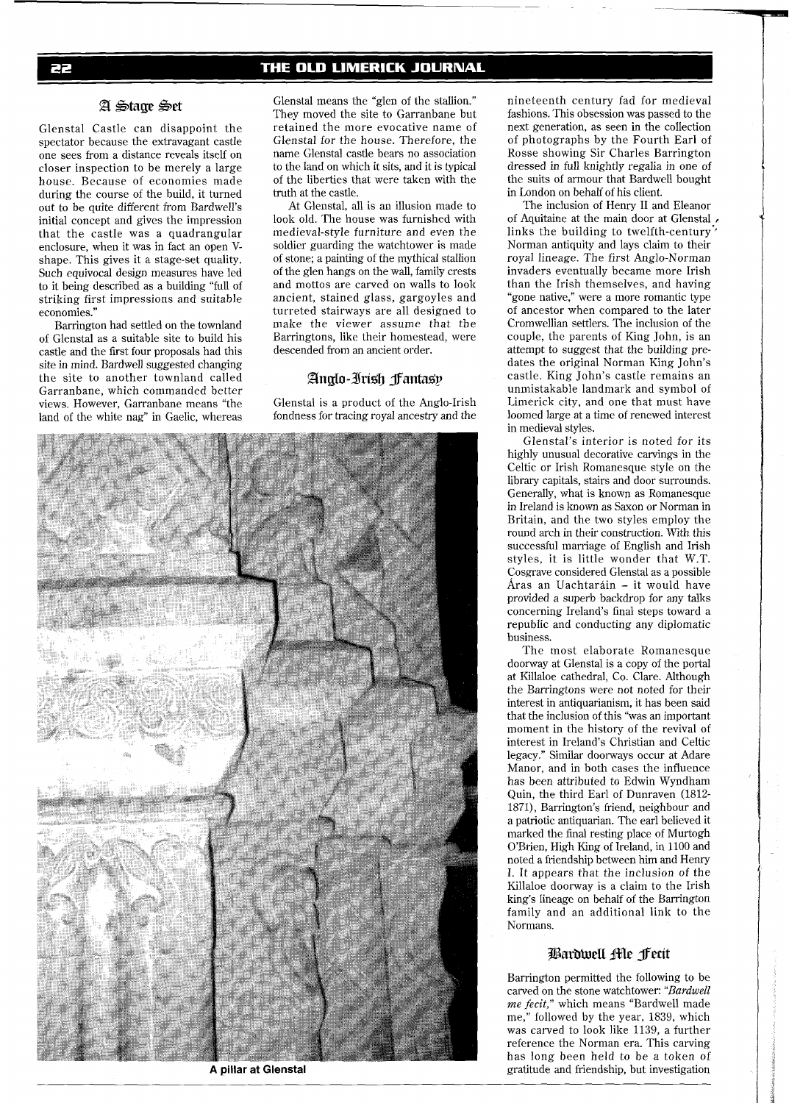### THE OLD LIMERICK JOURNAL

#### A Stage Set

Glenstal Castle can disappoint the spectator because the extravagant castle one sees from a distance reveals itself on closer inspection to be merely a large house. Because of economies made during the course of the build, it turned out to be quite different from Bardwell's initial concept and gives the impression that the castle was a quadrangular enclosure, when it was in fact an open Vshape. This gives it a stage-set quality. Such equivocal design measures have led to it being described as a building "full of striking first impressions and suitable economies."

Barrington had settled on the townland of Glenstal as a suitable site to build his castle and the first four proposals had this site in mind. Bardwell suggested changing the site to another townland called Garranbane, which commanded better views. However, Garranbane means "the land of the white nag" in Gaelic, whereas

Glenstal means the "glen of the stallion." They moved the site to Garranbane but retained the more evocative name of Glenstal for the house. Therefore, the name Glenstal castle bears no association to the land on which it sits, and it is typical of the liberties that were taken with the truth at the castle.

At Glenstal, all is an illusion made to look old. The house was furnished with medieval-style furniture and even the soldier guarding the watchtower is made of stone; a painting of the mythical stallion of the glen hangs on the wall, family crests and mottos are carved on walls to look ancient, stained glass, gargoyles and turreted stairways are all designed to make the viewer assume that the Barringtons, like their homestead, were descended from an ancient order.

#### Anglo-Irish Fantasy

Glenstal is a product of the Anglo-Irish fondness for tracing royal ancestry and the



**A pillar at Glenstal** 

nineteenth century fad for medieval fashions. This obsession was passed to the next generation, as seen in the collection of photographs by the Fourth Earl of Rosse showing Sir Charles Barrington dressed in full knightly regalia in one of the suits of armour that Bardwell bought in London on behalf of his client.

The inclusion of Henry I1 and Eleanor of Aquitaine at the main door at Glenstal **<sup>p</sup>** links the building to twelfth-century' Norman antiquity and lays claim to their royal lineage. The first Anglo-Norman invaders eventually became more Irish than the Irish themselves, and having "gone native," were a more romantic type of ancestor when compared to the later Cromwellian settlers. The inclusion of the couple, the parents of King John, is an attempt to suggest that the building predates the original Norman King John's castle. King John's castle remains an unmistakable landmark and symbol of Limerick city, and one that must have loomed large at a time of renewed interest in medieval styles.

Glenstal's interior is noted for its highly unusual decorative carvings in the Celtic or Irish Romanesque style on the library capitals, stairs and door surrounds. Generally, what is known as Romanesque in Ireland is known as Saxon or Norman in Britain, and the two styles employ the round arch in their construction. With this successful marriage of English and Irish styles, it is little wonder that W.T. Cosgrave considered Glenstal as a possible Aras an Uachtarain - it would have provided a superb backdrop for any talks concerning Ireland's final steps toward a republic and conducting any diplomatic business.

The most elaborate Romanesque doorway at Glenstal is a copy of the portal at Killaloe cathedral, Co. Clare. Although the Barringtons were not noted for their interest in antiquarianism, it has been said that the inclusion of this "was an important moment in the history of the revival of interest in Ireland's Christian and Celtic legacy." Similar doorways occur at Adare Manor, and in both cases the influence has been attributed to Edwin Wyndham Quin, the third Earl of Dunraven (1812- 1871), Barrington's friend, neighbour and a patriotic antiquarian. The earl believed it marked the final resting place of Murtogh O'Brien, High King of Ireland, in 1100 and noted a friendship between him and Henry I. It appears that the inclusion of the Killaloe doorway is a claim to the Irish king's lineage on behalf of the Barrington family and an additional link to the Normans.

#### Bardwell Me fecit

Barrington permitted the following to be carved on the stone watchtower: *"Bardwell*  me **fecit,"** which means "Bardwell made me," followed by the year, 1839, which was carved to look like 1139, a further reference the Norman era. This carving has long been held to be a token of gratitude and friendship, but investigation